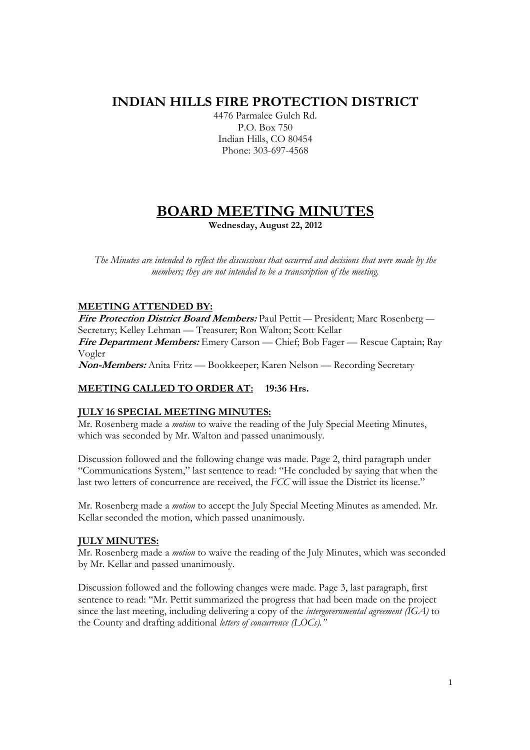## **INDIAN HILLS FIRE PROTECTION DISTRICT**

4476 Parmalee Gulch Rd. P.O. Box 750 Indian Hills, CO 80454 Phone: 303-697-4568

# **BOARD MEETING MINUTES**

**Wednesday, August 22, 2012** 

*The Minutes are intended to reflect the discussions that occurred and decisions that were made by the members; they are not intended to be a transcription of the meeting.* 

## **MEETING ATTENDED BY:**

**Fire Protection District Board Members:** Paul Pettit — President; Marc Rosenberg — Secretary; Kelley Lehman — Treasurer; Ron Walton; Scott Kellar **Fire Department Members:** Emery Carson — Chief; Bob Fager — Rescue Captain; Ray

Vogler

**Non-Members:** Anita Fritz — Bookkeeper; Karen Nelson — Recording Secretary

## **MEETING CALLED TO ORDER AT: 19:36 Hrs.**

## **JULY 16 SPECIAL MEETING MINUTES:**

Mr. Rosenberg made a *motion* to waive the reading of the July Special Meeting Minutes, which was seconded by Mr. Walton and passed unanimously.

Discussion followed and the following change was made. Page 2, third paragraph under "Communications System," last sentence to read: "He concluded by saying that when the last two letters of concurrence are received, the *FCC* will issue the District its license."

Mr. Rosenberg made a *motion* to accept the July Special Meeting Minutes as amended. Mr. Kellar seconded the motion, which passed unanimously.

## **JULY MINUTES:**

Mr. Rosenberg made a *motion* to waive the reading of the July Minutes, which was seconded by Mr. Kellar and passed unanimously.

Discussion followed and the following changes were made. Page 3, last paragraph, first sentence to read: "Mr. Pettit summarized the progress that had been made on the project since the last meeting, including delivering a copy of the *intergovernmental agreement (IGA)* to the County and drafting additional *letters of concurrence (LOCs)."*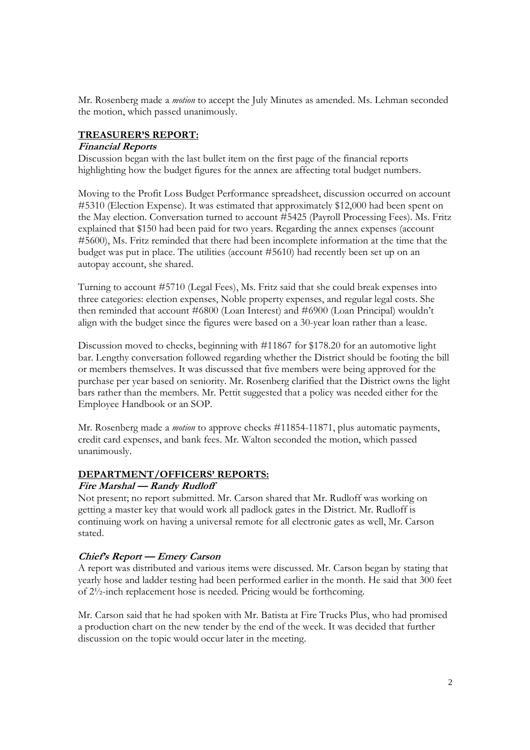Mr. Rosenberg made a *motion* to accept the July Minutes as amended. Ms. Lehman seconded the motion, which passed unanimously.

## **TREASURER'S REPORT:**

#### **Financial Reports**

Discussion began with the last bullet item on the first page of the financial reports highlighting how the budget figures for the annex are affecting total budget numbers.

Moving to the Profit Loss Budget Performance spreadsheet, discussion occurred on account #5310 (Election Expense). It was estimated that approximately \$12,000 had been spent on the May election. Conversation turned to account #5425 (Payroll Processing Fees). Ms. Fritz explained that \$150 had been paid for two years. Regarding the annex expenses (account #5600), Ms. Fritz reminded that there had been incomplete information at the time that the budget was put in place. The utilities (account #5610) had recently been set up on an autopay account, she shared.

Turning to account #5710 (Legal Fees), Ms. Fritz said that she could break expenses into three categories: election expenses, Noble property expenses, and regular legal costs. She then reminded that account #6800 (Loan Interest) and #6900 (Loan Principal) wouldn't align with the budget since the figures were based on a 30-year loan rather than a lease.

Discussion moved to checks, beginning with #11867 for \$178.20 for an automotive light bar. Lengthy conversation followed regarding whether the District should be footing the bill or members themselves. It was discussed that five members were being approved for the purchase per year based on seniority. Mr. Rosenberg clarified that the District owns the light bars rather than the members. Mr. Pettit suggested that a policy was needed either for the Employee Handbook or an SOP.

Mr. Rosenberg made a *motion* to approve checks #11854-11871, plus automatic payments, credit card expenses, and bank fees. Mr. Walton seconded the motion, which passed unanimously.

#### **DEPARTMENT/OFFICERS' REPORTS:**

#### **Fire Marshal — Randy Rudloff**

Not present; no report submitted. Mr. Carson shared that Mr. Rudloff was working on getting a master key that would work all padlock gates in the District. Mr. Rudloff is continuing work on having a universal remote for all electronic gates as well, Mr. Carson stated.

#### **Chief's Report — Emery Carson**

A report was distributed and various items were discussed. Mr. Carson began by stating that yearly hose and ladder testing had been performed earlier in the month. He said that 300 feet of 2½-inch replacement hose is needed. Pricing would be forthcoming.

Mr. Carson said that he had spoken with Mr. Batista at Fire Trucks Plus, who had promised a production chart on the new tender by the end of the week. It was decided that further discussion on the topic would occur later in the meeting.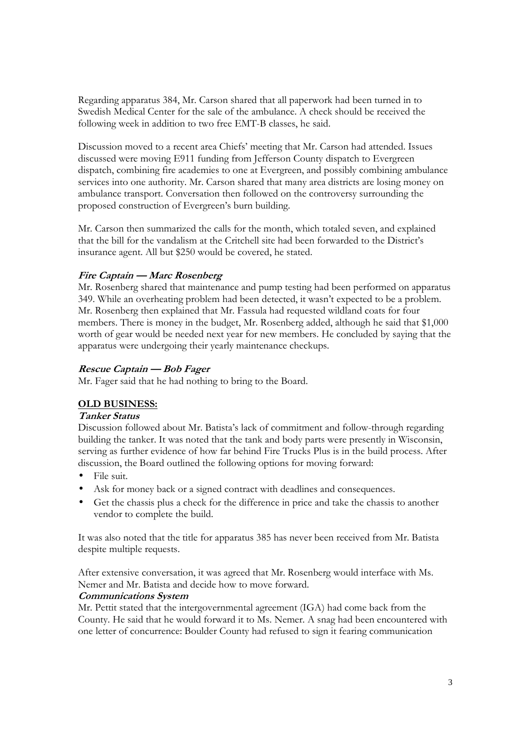Regarding apparatus 384, Mr. Carson shared that all paperwork had been turned in to Swedish Medical Center for the sale of the ambulance. A check should be received the following week in addition to two free EMT-B classes, he said.

Discussion moved to a recent area Chiefs' meeting that Mr. Carson had attended. Issues discussed were moving E911 funding from Jefferson County dispatch to Evergreen dispatch, combining fire academies to one at Evergreen, and possibly combining ambulance services into one authority. Mr. Carson shared that many area districts are losing money on ambulance transport. Conversation then followed on the controversy surrounding the proposed construction of Evergreen's burn building.

Mr. Carson then summarized the calls for the month, which totaled seven, and explained that the bill for the vandalism at the Critchell site had been forwarded to the District's insurance agent. All but \$250 would be covered, he stated.

## **Fire Captain — Marc Rosenberg**

Mr. Rosenberg shared that maintenance and pump testing had been performed on apparatus 349. While an overheating problem had been detected, it wasn't expected to be a problem. Mr. Rosenberg then explained that Mr. Fassula had requested wildland coats for four members. There is money in the budget, Mr. Rosenberg added, although he said that \$1,000 worth of gear would be needed next year for new members. He concluded by saying that the apparatus were undergoing their yearly maintenance checkups.

#### **Rescue Captain — Bob Fager**

Mr. Fager said that he had nothing to bring to the Board.

## **OLD BUSINESS:**

#### **Tanker Status**

Discussion followed about Mr. Batista's lack of commitment and follow-through regarding building the tanker. It was noted that the tank and body parts were presently in Wisconsin, serving as further evidence of how far behind Fire Trucks Plus is in the build process. After discussion, the Board outlined the following options for moving forward:

- File suit.
- Ask for money back or a signed contract with deadlines and consequences.
- Get the chassis plus a check for the difference in price and take the chassis to another vendor to complete the build.

It was also noted that the title for apparatus 385 has never been received from Mr. Batista despite multiple requests.

After extensive conversation, it was agreed that Mr. Rosenberg would interface with Ms. Nemer and Mr. Batista and decide how to move forward.

#### **Communications System**

Mr. Pettit stated that the intergovernmental agreement (IGA) had come back from the County. He said that he would forward it to Ms. Nemer. A snag had been encountered with one letter of concurrence: Boulder County had refused to sign it fearing communication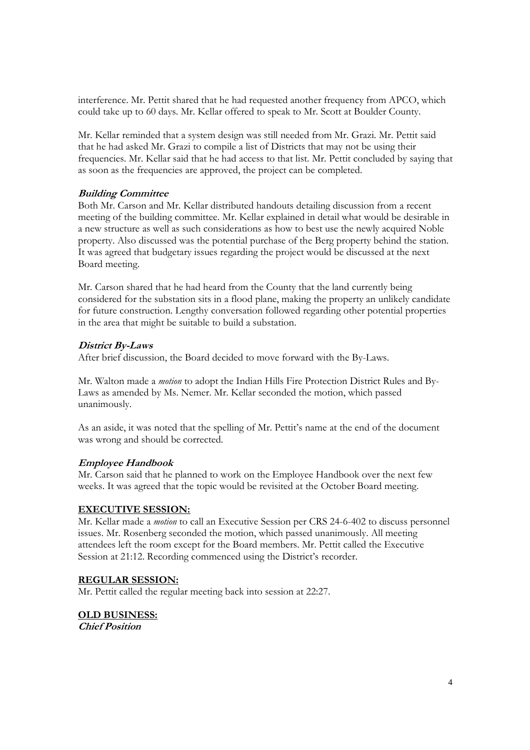interference. Mr. Pettit shared that he had requested another frequency from APCO, which could take up to 60 days. Mr. Kellar offered to speak to Mr. Scott at Boulder County.

Mr. Kellar reminded that a system design was still needed from Mr. Grazi. Mr. Pettit said that he had asked Mr. Grazi to compile a list of Districts that may not be using their frequencies. Mr. Kellar said that he had access to that list. Mr. Pettit concluded by saying that as soon as the frequencies are approved, the project can be completed.

## **Building Committee**

Both Mr. Carson and Mr. Kellar distributed handouts detailing discussion from a recent meeting of the building committee. Mr. Kellar explained in detail what would be desirable in a new structure as well as such considerations as how to best use the newly acquired Noble property. Also discussed was the potential purchase of the Berg property behind the station. It was agreed that budgetary issues regarding the project would be discussed at the next Board meeting.

Mr. Carson shared that he had heard from the County that the land currently being considered for the substation sits in a flood plane, making the property an unlikely candidate for future construction. Lengthy conversation followed regarding other potential properties in the area that might be suitable to build a substation.

#### **District By-Laws**

After brief discussion, the Board decided to move forward with the By-Laws.

Mr. Walton made a *motion* to adopt the Indian Hills Fire Protection District Rules and By-Laws as amended by Ms. Nemer. Mr. Kellar seconded the motion, which passed unanimously.

As an aside, it was noted that the spelling of Mr. Pettit's name at the end of the document was wrong and should be corrected.

## **Employee Handbook**

Mr. Carson said that he planned to work on the Employee Handbook over the next few weeks. It was agreed that the topic would be revisited at the October Board meeting.

#### **EXECUTIVE SESSION:**

Mr. Kellar made a *motion* to call an Executive Session per CRS 24-6-402 to discuss personnel issues. Mr. Rosenberg seconded the motion, which passed unanimously. All meeting attendees left the room except for the Board members. Mr. Pettit called the Executive Session at 21:12. Recording commenced using the District's recorder.

#### **REGULAR SESSION:**

Mr. Pettit called the regular meeting back into session at 22:27.

**OLD BUSINESS: Chief Position**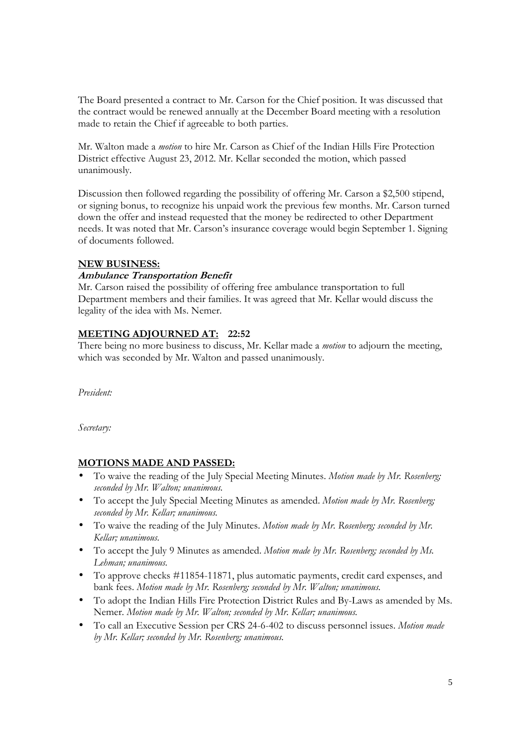The Board presented a contract to Mr. Carson for the Chief position. It was discussed that the contract would be renewed annually at the December Board meeting with a resolution made to retain the Chief if agreeable to both parties.

Mr. Walton made a *motion* to hire Mr. Carson as Chief of the Indian Hills Fire Protection District effective August 23, 2012. Mr. Kellar seconded the motion, which passed unanimously.

Discussion then followed regarding the possibility of offering Mr. Carson a \$2,500 stipend, or signing bonus, to recognize his unpaid work the previous few months. Mr. Carson turned down the offer and instead requested that the money be redirected to other Department needs. It was noted that Mr. Carson's insurance coverage would begin September 1. Signing of documents followed.

## **NEW BUSINESS:**

## **Ambulance Transportation Benefit**

Mr. Carson raised the possibility of offering free ambulance transportation to full Department members and their families. It was agreed that Mr. Kellar would discuss the legality of the idea with Ms. Nemer.

## **MEETING ADJOURNED AT: 22:52**

There being no more business to discuss, Mr. Kellar made a *motion* to adjourn the meeting, which was seconded by Mr. Walton and passed unanimously.

*President:* 

*Secretary:* 

## **MOTIONS MADE AND PASSED:**

- To waive the reading of the July Special Meeting Minutes. *Motion made by Mr. Rosenberg; seconded by Mr. Walton; unanimous.*
- To accept the July Special Meeting Minutes as amended. *Motion made by Mr. Rosenberg; seconded by Mr. Kellar; unanimous.*
- To waive the reading of the July Minutes. *Motion made by Mr. Rosenberg; seconded by Mr. Kellar; unanimous.*
- To accept the July 9 Minutes as amended. *Motion made by Mr. Rosenberg; seconded by Ms. Lehman; unanimous.*
- To approve checks #11854-11871, plus automatic payments, credit card expenses, and bank fees. *Motion made by Mr. Rosenberg; seconded by Mr. Walton; unanimous.*
- To adopt the Indian Hills Fire Protection District Rules and By-Laws as amended by Ms. Nemer. *Motion made by Mr. Walton; seconded by Mr. Kellar; unanimous.*
- To call an Executive Session per CRS 24-6-402 to discuss personnel issues. *Motion made by Mr. Kellar; seconded by Mr. Rosenberg; unanimous.*